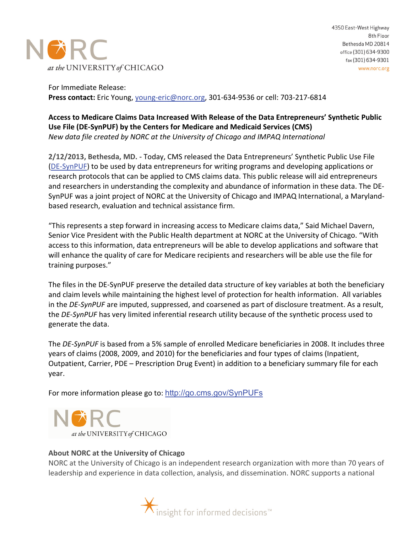

For Immediate Release: **Press contact:** Eric Young, [young-eric@norc.org,](mailto:young-eric@norc.org) 301-634-9536 or cell: 703-217-6814

## **Access to Medicare Claims Data Increased With Release of the Data Entrepreneurs' Synthetic Public Use File (DE-SynPUF) by the Centers for Medicare and Medicaid Services (CMS)** *New data file created by NORC at the University of Chicago and IMPAQ International*

**2/12/2013, Bethesda, MD. -** Today, CMS released the Data Entrepreneurs' Synthetic Public Use File [\(DE-SynPUF\)](http://www.cms.gov/SynPUFs) to be used by data entrepreneurs for writing programs and developing applications or research protocols that can be applied to CMS claims data. This public release will aid entrepreneurs and researchers in understanding the complexity and abundance of information in these data. The DE-SynPUF was a joint project of NORC at the University of Chicago and IMPAQ International, a Marylandbased research, evaluation and technical assistance firm.

"This represents a step forward in increasing access to Medicare claims data," Said Michael Davern, Senior Vice President with the Public Health department at NORC at the University of Chicago. "With access to this information, data entrepreneurs will be able to develop applications and software that will enhance the quality of care for Medicare recipients and researchers will be able use the file for training purposes."

The files in the DE-SynPUF preserve the detailed data structure of key variables at both the beneficiary and claim levels while maintaining the highest level of protection for health information. All variables in the *DE-SynPUF* are imputed, suppressed, and coarsened as part of disclosure treatment. As a result, the *DE-SynPUF* has very limited inferential research utility because of the synthetic process used to generate the data.

The *DE-SynPUF* is based from a 5% sample of enrolled Medicare beneficiaries in 2008. It includes three years of claims (2008, 2009, and 2010) for the beneficiaries and four types of claims (Inpatient, Outpatient, Carrier, PDE – Prescription Drug Event) in addition to a beneficiary summary file for each year.

For more information please go to: <http://go.cms.gov/SynPUFs>



## **About NORC at the University of Chicago**

NORC at the University of Chicago is an independent research organization with more than 70 years of leadership and experience in data collection, analysis, and dissemination. NORC supports a national